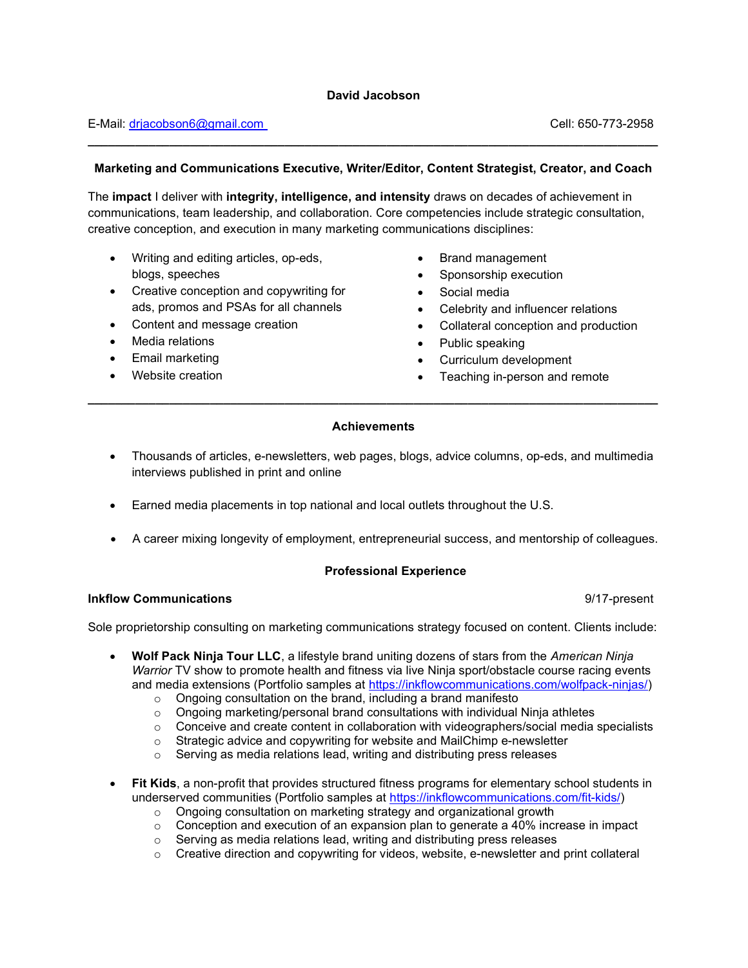# E-Mail: drjacobson6@gmail.com Cell: 650-773-2958

## Marketing and Communications Executive, Writer/Editor, Content Strategist, Creator, and Coach

\_\_\_\_\_\_\_\_\_\_\_\_\_\_\_\_\_\_\_\_\_\_\_\_\_\_\_\_\_\_\_\_\_\_\_\_\_\_\_\_\_\_\_\_\_\_\_\_\_\_\_\_\_\_\_\_\_\_\_\_\_\_\_\_\_\_\_\_\_\_\_\_\_\_\_\_\_\_\_\_\_\_\_\_

The impact I deliver with integrity, intelligence, and intensity draws on decades of achievement in communications, team leadership, and collaboration. Core competencies include strategic consultation, creative conception, and execution in many marketing communications disciplines:

- Writing and editing articles, op-eds, blogs, speeches
- Creative conception and copywriting for ads, promos and PSAs for all channels
- Content and message creation
- Media relations
- Email marketing
- Website creation
- Brand management
- Sponsorship execution
- Social media
- Celebrity and influencer relations
- Collateral conception and production
- Public speaking
- Curriculum development
- Teaching in-person and remote

#### **Achievements**

\_\_\_\_\_\_\_\_\_\_\_\_\_\_\_\_\_\_\_\_\_\_\_\_\_\_\_\_\_\_\_\_\_\_\_\_\_\_\_\_\_\_\_\_\_\_\_\_\_\_\_\_\_\_\_\_\_\_\_\_\_\_\_\_\_\_\_\_\_\_\_\_\_\_\_\_\_\_\_\_\_\_\_\_

- Thousands of articles, e-newsletters, web pages, blogs, advice columns, op-eds, and multimedia interviews published in print and online
- Earned media placements in top national and local outlets throughout the U.S.
- A career mixing longevity of employment, entrepreneurial success, and mentorship of colleagues.

#### Professional Experience

#### Inkflow Communications 9/17-present

Sole proprietorship consulting on marketing communications strategy focused on content. Clients include:

- Wolf Pack Ninja Tour LLC, a lifestyle brand uniting dozens of stars from the American Ninja Warrior TV show to promote health and fitness via live Ninja sport/obstacle course racing events and media extensions (Portfolio samples at https://inkflowcommunications.com/wolfpack-ninjas/)
	- o Ongoing consultation on the brand, including a brand manifesto
	- $\circ$  Ongoing marketing/personal brand consultations with individual Ninja athletes
	- $\circ$  Conceive and create content in collaboration with videographers/social media specialists<br>  $\circ$  Strategic advice and copywriting for website and MailChimp e-newsletter
	- Strategic advice and copywriting for website and MailChimp e-newsletter
	- o Serving as media relations lead, writing and distributing press releases
- Fit Kids, a non-profit that provides structured fitness programs for elementary school students in underserved communities (Portfolio samples at https://inkflowcommunications.com/fit-kids/)
	- o Ongoing consultation on marketing strategy and organizational growth
	- $\circ$  Conception and execution of an expansion plan to generate a 40% increase in impact
	- o Serving as media relations lead, writing and distributing press releases
	- o Creative direction and copywriting for videos, website, e-newsletter and print collateral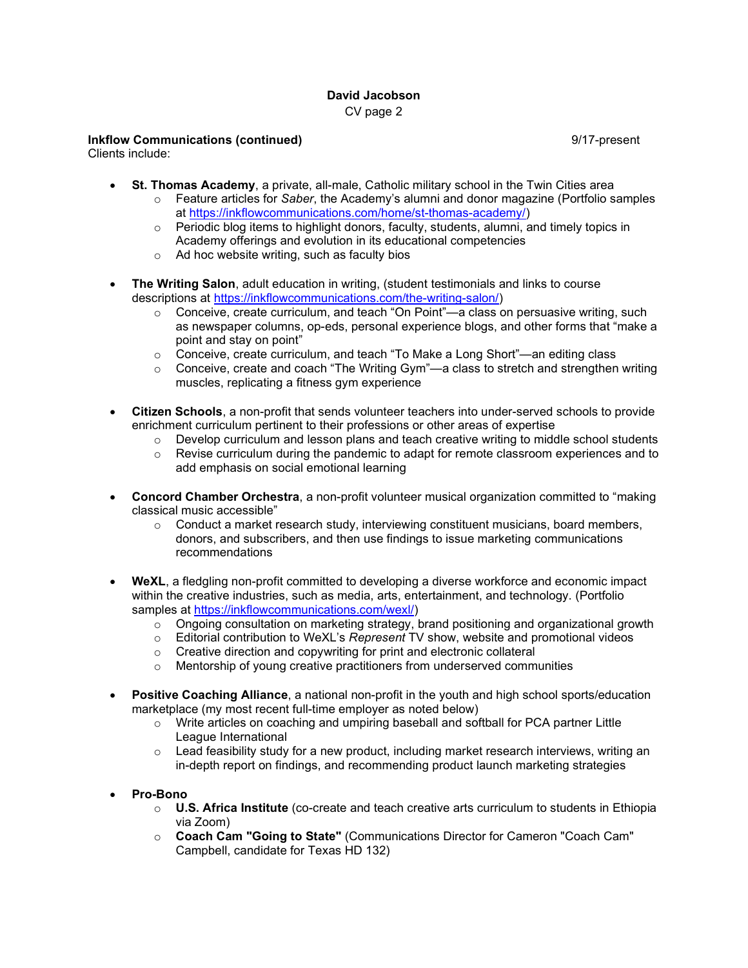# David Jacobson CV page 2

## Inkflow Communications (continued) 9/17-present

Clients include:

- St. Thomas Academy, a private, all-male, Catholic military school in the Twin Cities area
	- $\circ$  Feature articles for Saber, the Academy's alumni and donor magazine (Portfolio samples at https://inkflowcommunications.com/home/st-thomas-academy/)
	- $\circ$  Periodic blog items to highlight donors, faculty, students, alumni, and timely topics in Academy offerings and evolution in its educational competencies
	- o Ad hoc website writing, such as faculty bios
- The Writing Salon, adult education in writing, (student testimonials and links to course descriptions at https://inkflowcommunications.com/the-writing-salon/)
	- $\circ$  Conceive, create curriculum, and teach "On Point"—a class on persuasive writing, such as newspaper columns, op-eds, personal experience blogs, and other forms that "make a point and stay on point"
	- o Conceive, create curriculum, and teach "To Make a Long Short"—an editing class
	- o Conceive, create and coach "The Writing Gym"—a class to stretch and strengthen writing muscles, replicating a fitness gym experience
- Citizen Schools, a non-profit that sends volunteer teachers into under-served schools to provide enrichment curriculum pertinent to their professions or other areas of expertise
	- $\circ$  Develop curriculum and lesson plans and teach creative writing to middle school students
	- $\circ$  Revise curriculum during the pandemic to adapt for remote classroom experiences and to add emphasis on social emotional learning
- Concord Chamber Orchestra, a non-profit volunteer musical organization committed to "making classical music accessible"
	- $\circ$  Conduct a market research study, interviewing constituent musicians, board members, donors, and subscribers, and then use findings to issue marketing communications recommendations
- WeXL, a fledgling non-profit committed to developing a diverse workforce and economic impact within the creative industries, such as media, arts, entertainment, and technology. (Portfolio samples at https://inkflowcommunications.com/wexl/)
	- $\circ$  Ongoing consultation on marketing strategy, brand positioning and organizational growth  $\circ$  Editorial contribution to WeXL's Represent TV show, website and promotional videos
	- Editorial contribution to WeXL's Represent TV show, website and promotional videos
	- o Creative direction and copywriting for print and electronic collateral
	- o Mentorship of young creative practitioners from underserved communities
- Positive Coaching Alliance, a national non-profit in the youth and high school sports/education marketplace (my most recent full-time employer as noted below)
	- $\circ$  Write articles on coaching and umpiring baseball and softball for PCA partner Little League International
	- $\circ$  Lead feasibility study for a new product, including market research interviews, writing an in-depth report on findings, and recommending product launch marketing strategies
- Pro-Bono
	- $\circ$  U.S. Africa Institute (co-create and teach creative arts curriculum to students in Ethiopia via Zoom)
	- o Coach Cam "Going to State" (Communications Director for Cameron "Coach Cam" Campbell, candidate for Texas HD 132)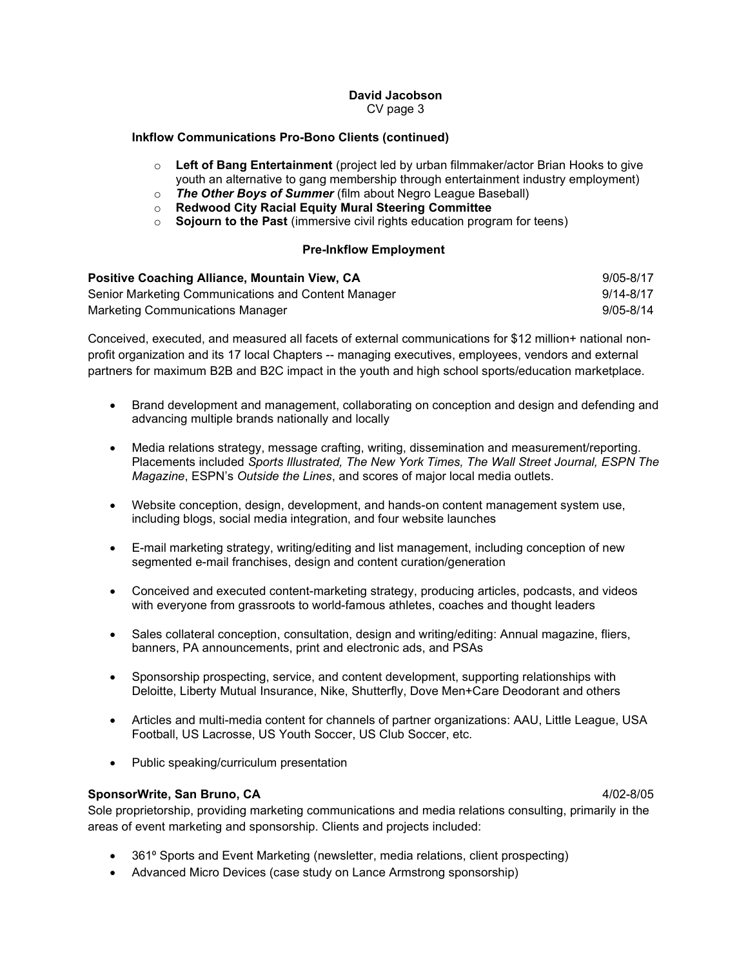## David Jacobson CV page 3

#### Inkflow Communications Pro-Bono Clients (continued)

- $\circ$  Left of Bang Entertainment (project led by urban filmmaker/actor Brian Hooks to give youth an alternative to gang membership through entertainment industry employment)
- o The Other Boys of Summer (film about Negro League Baseball)<br>○ Redwood City Racial Equity Mural Steering Committee
- Redwood City Racial Equity Mural Steering Committee
- $\circ$  Sojourn to the Past (immersive civil rights education program for teens)

## Pre-Inkflow Employment

| <b>Positive Coaching Alliance, Mountain View, CA</b> | 9/05-8/17 |
|------------------------------------------------------|-----------|
| Senior Marketing Communications and Content Manager  | 9/14-8/17 |
| Marketing Communications Manager                     | 9/05-8/14 |

Conceived, executed, and measured all facets of external communications for \$12 million+ national nonprofit organization and its 17 local Chapters -- managing executives, employees, vendors and external partners for maximum B2B and B2C impact in the youth and high school sports/education marketplace.

- Brand development and management, collaborating on conception and design and defending and advancing multiple brands nationally and locally
- Media relations strategy, message crafting, writing, dissemination and measurement/reporting. Placements included Sports Illustrated, The New York Times, The Wall Street Journal, ESPN The Magazine, ESPN's Outside the Lines, and scores of major local media outlets.
- Website conception, design, development, and hands-on content management system use, including blogs, social media integration, and four website launches
- E-mail marketing strategy, writing/editing and list management, including conception of new segmented e-mail franchises, design and content curation/generation
- Conceived and executed content-marketing strategy, producing articles, podcasts, and videos with everyone from grassroots to world-famous athletes, coaches and thought leaders
- Sales collateral conception, consultation, design and writing/editing: Annual magazine, fliers, banners, PA announcements, print and electronic ads, and PSAs
- Sponsorship prospecting, service, and content development, supporting relationships with Deloitte, Liberty Mutual Insurance, Nike, Shutterfly, Dove Men+Care Deodorant and others
- Articles and multi-media content for channels of partner organizations: AAU, Little League, USA Football, US Lacrosse, US Youth Soccer, US Club Soccer, etc.
- Public speaking/curriculum presentation

#### SponsorWrite, San Bruno, CA 61 and 100 and 100 and 100 and 100 and 100 and 100 and 100 and 100 and 100 and 100

Sole proprietorship, providing marketing communications and media relations consulting, primarily in the areas of event marketing and sponsorship. Clients and projects included:

- 361⁰ Sports and Event Marketing (newsletter, media relations, client prospecting)
- Advanced Micro Devices (case study on Lance Armstrong sponsorship)